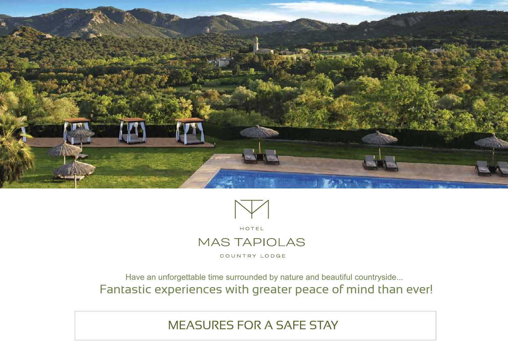



Have an unforgettable time surrounded by nature and beautiful countryside... Fantastic experiences with greater peace of mind than ever!

MEASURES FOR A SAFE STAY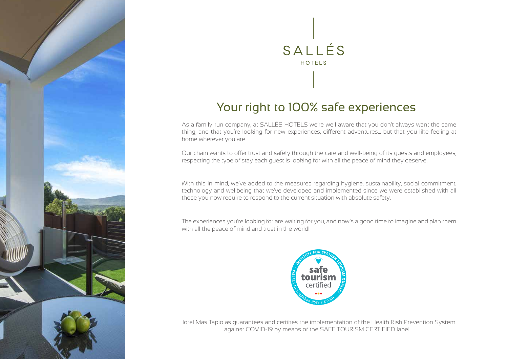

# SALLÉS HOTELS

### Your right to 100% safe experiences

As a family-run company, at SALLÉS HOTELS we're well aware that you don't always want the same thing, and that you're looking for new experiences, different adventures... but that you like feeling at home wherever you are.

Our chain wants to offer trust and safety through the care and well-being of its guests and employees, respecting the type of stay each guest is looking for with all the peace of mind they deserve.

With this in mind, we've added to the measures regarding hygiene, sustainability, social commitment, technology and wellbeing that we've developed and implemented since we were established with all those you now require to respond to the current situation with absolute safety.

The experiences you're looking for are waiting for you, and now's a good time to imagine and plan them with all the peace of mind and trust in the world!



Hotel Mas Tapiolas guarantees and certifies the implementation of the Health Risk Prevention System against COVID-19 by means of the SAFE TOURISM CERTIFIED label.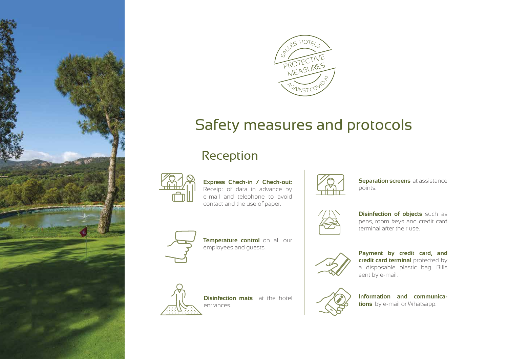



### Safety measures and protocols

### Reception



**Express Check-in / Check-out:**  Receipt of data in advance by e-mail and telephone to avoid contact and the use of paper.

**Temperature control** on all our

**Disinfection mats** at the hotel

employees and guests.

entrances.



**Separation screens** at assistance points.



**Disinfection of objects** such as pens, room keys and credit card terminal after their use.



**Payment by credit card, and credit card terminal** protected by a disposable plastic bag. Bills sent by e-mail.



**Information and communications** by e-mail or Whatsapp.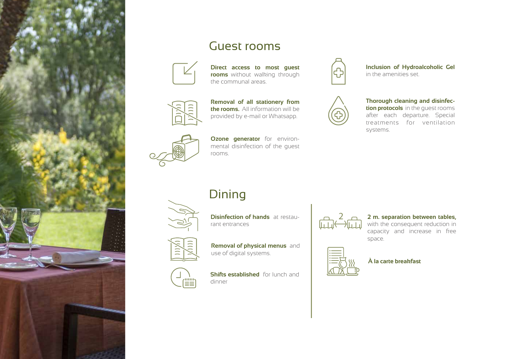

### Guest rooms



**Direct access to most guest rooms** without walking through the communal areas.



**Removal of all stationery from the rooms.** All information will be provided by e-mail or Whatsapp.



**Ozone generator** for environmental disinfection of the guest rooms.

### **Dining**



**Disinfection of hands** at restaurant entrances





**Shifts established** for lunch and  $\left(\frac{\text{min}}{2}\right)$ dinner

2

#### **2 m. separation between tables,**

with the consequent reduction in capacity and increase in free space.



**À la carte breakfast**



systems.

**Inclusion of Hydroalcoholic Gel**  in the amenities set.

after each departure. Special treatments for ventilation

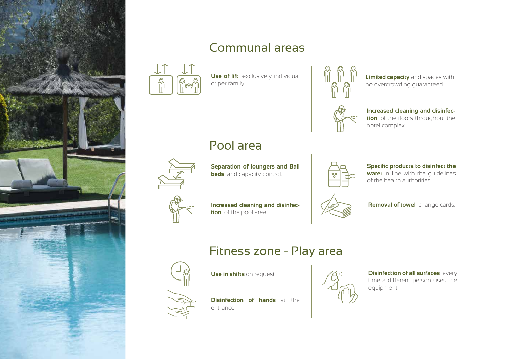

### Communal areas



**Use of lift** exclusively individual or per family



**Limited capacity** and spaces with no overcrowding guaranteed.



**Increased cleaning and disinfection** of the floors throughout the hotel complex

### Pool area



**Separation of loungers and Bali beds** and capacity control.



**Specific products to disinfect the water** in line with the guidelines of the health authorities.



**Increased cleaning and disinfection** of the pool area.

## CAMBIO

**Removal of towel** change cards.

### Fitness zone - Play area

**Use in shifts** on request



**Disinfection of hands** at the entrance.



**Disinfection of all surfaces** every time a different person uses the equipment.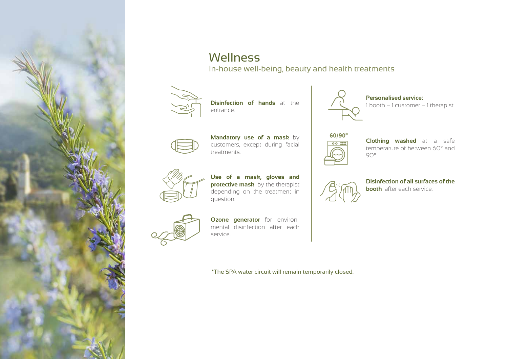

#### **Wellness** In-house well-being, beauty and health treatments



**Disinfection of hands** at the  $\begin{pmatrix} 1 & 1 & 0 \end{pmatrix}$  **C**  $\begin{pmatrix} 1 & 1 & 0 \ 0 & 1 & 1 \end{pmatrix}$  therapist entrance.



**Mandatory use of a mask** by customers, except during facial treatments.



**Use of a mask, gloves and protective mask** by the therapist depending on the treatment in question.



**Ozone generator** for environmental disinfection after each service.

\*The SPA water circuit will remain temporarily closed.



**Personalised service:** 



**Clothing washed** at a safe temperature of between 60° and 90°



**Disinfection of all surfaces of the booth** after each service